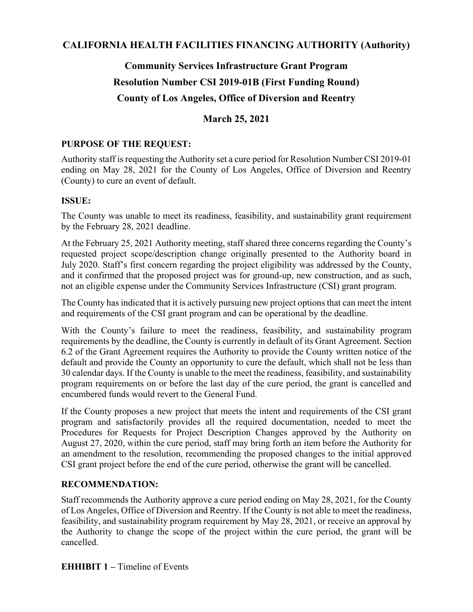# **CALIFORNIA HEALTH FACILITIES FINANCING AUTHORITY (Authority)**

# **Community Services Infrastructure Grant Program Resolution Number CSI 2019-01B (First Funding Round) County of Los Angeles, Office of Diversion and Reentry**

# **March 25, 2021**

### **PURPOSE OF THE REQUEST:**

Authority staff is requesting the Authority set a cure period for Resolution Number CSI 2019-01 ending on May 28, 2021 for the County of Los Angeles, Office of Diversion and Reentry (County) to cure an event of default.

### **ISSUE:**

The County was unable to meet its readiness, feasibility, and sustainability grant requirement by the February 28, 2021 deadline.

At the February 25, 2021 Authority meeting, staff shared three concerns regarding the County's requested project scope/description change originally presented to the Authority board in July 2020. Staff's first concern regarding the project eligibility was addressed by the County, and it confirmed that the proposed project was for ground-up, new construction, and as such, not an eligible expense under the Community Services Infrastructure (CSI) grant program.

The County has indicated that it is actively pursuing new project options that can meet the intent and requirements of the CSI grant program and can be operational by the deadline.

With the County's failure to meet the readiness, feasibility, and sustainability program requirements by the deadline, the County is currently in default of its Grant Agreement. Section 6.2 of the Grant Agreement requires the Authority to provide the County written notice of the default and provide the County an opportunity to cure the default, which shall not be less than 30 calendar days. If the County is unable to the meet the readiness, feasibility, and sustainability program requirements on or before the last day of the cure period, the grant is cancelled and encumbered funds would revert to the General Fund.

If the County proposes a new project that meets the intent and requirements of the CSI grant program and satisfactorily provides all the required documentation, needed to meet the Procedures for Requests for Project Description Changes approved by the Authority on August 27, 2020, within the cure period, staff may bring forth an item before the Authority for an amendment to the resolution, recommending the proposed changes to the initial approved CSI grant project before the end of the cure period, otherwise the grant will be cancelled.

### **RECOMMENDATION:**

Staff recommends the Authority approve a cure period ending on May 28, 2021, for the County of Los Angeles, Office of Diversion and Reentry. If the County is not able to meet the readiness, feasibility, and sustainability program requirement by May 28, 2021, or receive an approval by the Authority to change the scope of the project within the cure period, the grant will be cancelled.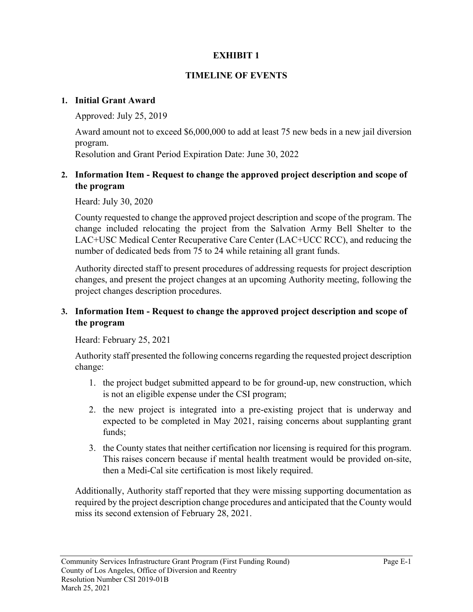# **EXHIBIT 1**

## **TIMELINE OF EVENTS**

#### **1. Initial Grant Award**

Approved: July 25, 2019

Award amount not to exceed \$6,000,000 to add at least 75 new beds in a new jail diversion program.

Resolution and Grant Period Expiration Date: June 30, 2022

## **2. Information Item - Request to change the approved project description and scope of the program**

Heard: July 30, 2020

County requested to change the approved project description and scope of the program. The change included relocating the project from the Salvation Army Bell Shelter to the LAC+USC Medical Center Recuperative Care Center (LAC+UCC RCC), and reducing the number of dedicated beds from 75 to 24 while retaining all grant funds.

Authority directed staff to present procedures of addressing requests for project description changes, and present the project changes at an upcoming Authority meeting, following the project changes description procedures.

# **3. Information Item - Request to change the approved project description and scope of the program**

Heard: February 25, 2021

Authority staff presented the following concerns regarding the requested project description change:

- 1. the project budget submitted appeard to be for ground-up, new construction, which is not an eligible expense under the CSI program;
- 2. the new project is integrated into a pre-existing project that is underway and expected to be completed in May 2021, raising concerns about supplanting grant funds;
- 3. the County states that neither certification nor licensing is required for this program. This raises concern because if mental health treatment would be provided on-site, then a Medi-Cal site certification is most likely required.

Additionally, Authority staff reported that they were missing supporting documentation as required by the project description change procedures and anticipated that the County would miss its second extension of February 28, 2021.